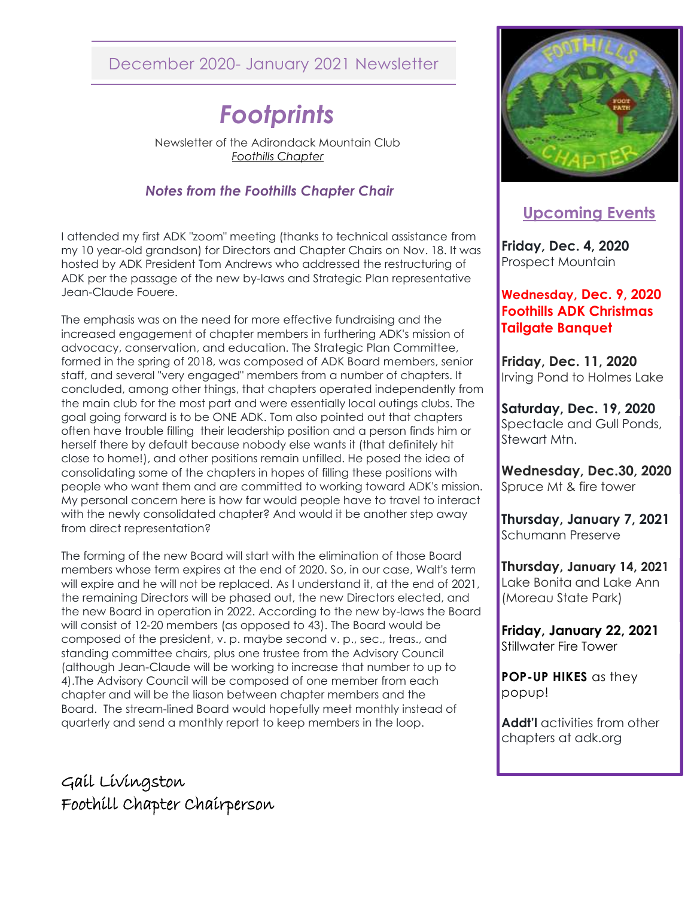# December 2020- January 2021 Newsletter

# *Footprints*

Newsletter of the Adirondack Mountain Club *Foothills Chapter* 

#### *Notes from the Foothills Chapter Chair*

I attended my first ADK "zoom" meeting (thanks to technical assistance from my 10 year-old grandson) for Directors and Chapter Chairs on Nov. 18. It was hosted by ADK President Tom Andrews who addressed the restructuring of ADK per the passage of the new by-laws and Strategic Plan representative Jean-Claude Fouere.

The emphasis was on the need for more effective fundraising and the increased engagement of chapter members in furthering ADK's mission of advocacy, conservation, and education. The Strategic Plan Committee, formed in the spring of 2018, was composed of ADK Board members, senior staff, and several "very engaged" members from a number of chapters. It concluded, among other things, that chapters operated independently from the main club for the most part and were essentially local outings clubs. The goal going forward is to be ONE ADK. Tom also pointed out that chapters often have trouble filling their leadership position and a person finds him or herself there by default because nobody else wants it (that definitely hit close to home!), and other positions remain unfilled. He posed the idea of consolidating some of the chapters in hopes of filling these positions with people who want them and are committed to working toward ADK's mission. My personal concern here is how far would people have to travel to interact with the newly consolidated chapter? And would it be another step away from direct representation?

The forming of the new Board will start with the elimination of those Board members whose term expires at the end of 2020. So, in our case, Walt's term will expire and he will not be replaced. As I understand it, at the end of 2021, the remaining Directors will be phased out, the new Directors elected, and the new Board in operation in 2022. According to the new by-laws the Board will consist of 12-20 members (as opposed to 43). The Board would be composed of the president, v. p. maybe second v. p., sec., treas., and standing committee chairs, plus one trustee from the Advisory Council (although Jean-Claude will be working to increase that number to up to 4).The Advisory Council will be composed of one member from each chapter and will be the liason between chapter members and the Board. The stream-lined Board would hopefully meet monthly instead of quarterly and send a monthly report to keep members in the loop.

Gail Livingston Foothill Chapter Chairperson



# **Upcoming Events**

**Friday, Dec. 4, 2020** Prospect Mountain

#### **Wednesday, Dec. 9, 2020 Foothills ADK Christmas Tailgate Banquet**

**Friday, Dec. 11, 2020** Irving Pond to Holmes Lake

**Saturday, Dec. 19, 2020** Spectacle and Gull Ponds, Stewart Mtn.

**Wednesday, Dec.30, 2020** Spruce Mt & fire tower

**Thursday, January 7, 2021** Schumann Preserve

**Thursday, January 14, 2021** Lake Bonita and Lake Ann (Moreau State Park)

**Friday, January 22, 2021** Stillwater Fire Tower

**POP-UP HIKES** as they popup!

**Addt'l** activities from other chapters at adk.org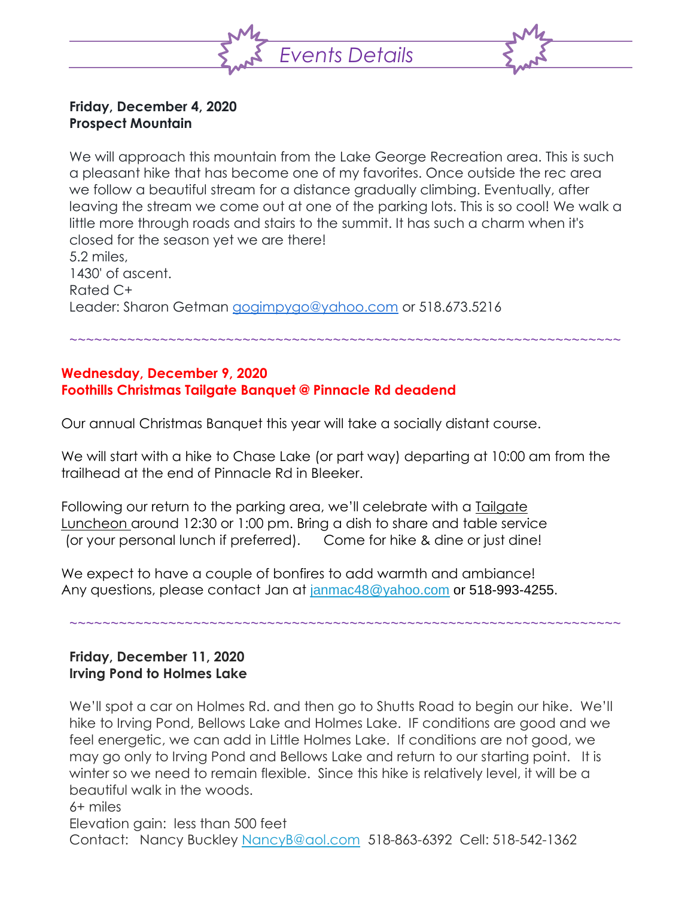

#### **Friday, December 4, 2020 Prospect Mountain**

We will approach this mountain from the Lake George Recreation area. This is such a pleasant hike that has become one of my favorites. Once outside the rec area we follow a beautiful stream for a distance gradually climbing. Eventually, after leaving the stream we come out at one of the parking lots. This is so cool! We walk a little more through roads and stairs to the summit. It has such a charm when it's closed for the season yet we are there! 5.2 miles, 1430' of ascent. Rated C+

~~~~~~~~~~~~~~~~~~~~~~~~~~~~~~~~~~~~~~~~~~~~~~~~~~~~~~~~~~~~~~~~~~~

Leader: Sharon Getman [gogimpygo@yahoo.com](mailto:gogimpygo@yahoo.com) or 518.673.5216

## **Wednesday, December 9, 2020 Foothills Christmas Tailgate Banquet @ Pinnacle Rd deadend**

Our annual Christmas Banquet this year will take a socially distant course.

We will start with a hike to Chase Lake (or part way) departing at 10:00 am from the trailhead at the end of Pinnacle Rd in Bleeker.

Following our return to the parking area, we'll celebrate with a Tailgate Luncheon around 12:30 or 1:00 pm. Bring a dish to share and table service (or your personal lunch if preferred). Come for hike & dine or just dine!

We expect to have a couple of bonfires to add warmth and ambiance! Any questions, please contact Jan at [janmac48@yahoo.com](mailto:janmac48@yahoo.com) or 518-993-4255.

## ~~~~~~~~~~~~~~~~~~~~~~~~~~~~~~~~~~~~~~~~~~~~~~~~~~~~~~~~~~~~~~~~~~~

## **Friday, December 11, 2020 Irving Pond to Holmes Lake**

We'll spot a car on Holmes Rd. and then go to Shutts Road to begin our hike. We'll hike to Irving Pond, Bellows Lake and Holmes Lake. IF conditions are good and we feel energetic, we can add in Little Holmes Lake. If conditions are not good, we may go only to Irving Pond and Bellows Lake and return to our starting point. It is winter so we need to remain flexible. Since this hike is relatively level, it will be a beautiful walk in the woods. 6+ miles

Elevation gain: less than 500 feet

Contact: Nancy Buckley [NancyB@aol.com](mailto:NancyB@aol.com) 518-863-6392 Cell: 518-542-1362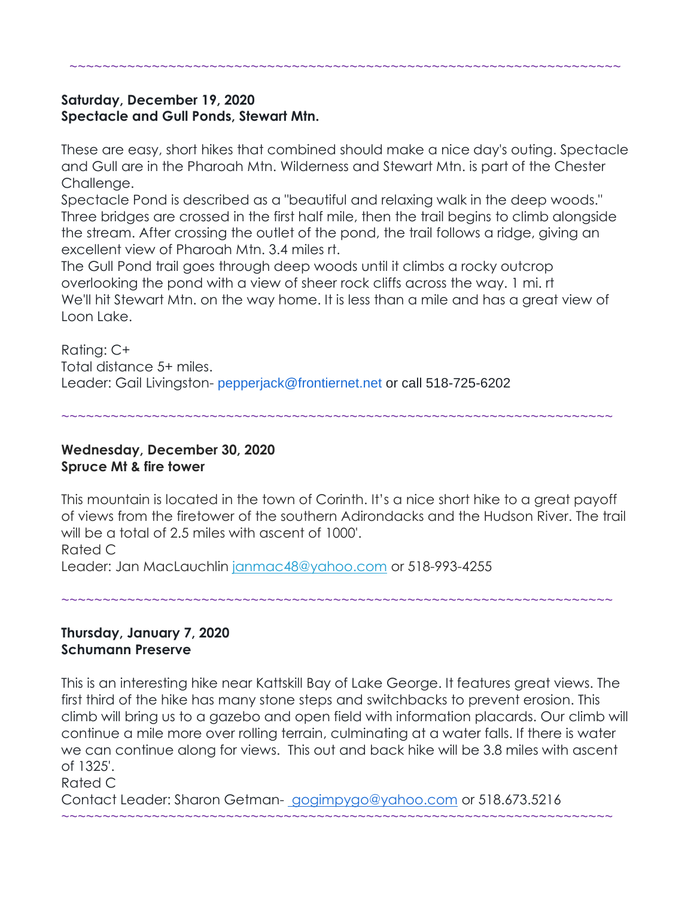## **Saturday, December 19, 2020 Spectacle and Gull Ponds, Stewart Mtn.**

These are easy, short hikes that combined should make a nice day's outing. Spectacle and Gull are in the Pharoah Mtn. Wilderness and Stewart Mtn. is part of the Chester Challenge.

~~~~~~~~~~~~~~~~~~~~~~~~~~~~~~~~~~~~~~~~~~~~~~~~~~~~~~~~~~~~~~~~~~~

Spectacle Pond is described as a "beautiful and relaxing walk in the deep woods." Three bridges are crossed in the first half mile, then the trail begins to climb alongside the stream. After crossing the outlet of the pond, the trail follows a ridge, giving an excellent view of Pharoah Mtn. 3.4 miles rt.

The Gull Pond trail goes through deep woods until it climbs a rocky outcrop overlooking the pond with a view of sheer rock cliffs across the way. 1 mi. rt We'll hit Stewart Mtn. on the way home. It is less than a mile and has a great view of Loon Lake.

Rating: C+ Total distance 5+ miles. Leader: Gail Livingston- pepperjack@frontiernet.net or call 518-725-6202

~~~~~~~~~~~~~~~~~~~~~~~~~~~~~~~~~~~~~~~~~~~~~~~~~~~~~~~~~~~~~~~~~~~

### **Wednesday, December 30, 2020 Spruce Mt & fire tower**

This mountain is located in the town of Corinth. It's a nice short hike to a great payoff of views from the firetower of the southern Adirondacks and the Hudson River. The trail will be a total of 2.5 miles with ascent of 1000'. Rated C

Leader: Jan MacLauchlin [janmac48@yahoo.com](mailto:janmac48@yahoo.com) or 518-993-4255

~~~~~~~~~~~~~~~~~~~~~~~~~~~~~~~~~~~~~~~~~~~~~~~~~~~~~~~~~~~~~~~~~~~

#### **Thursday, January 7, 2020 Schumann Preserve**

This is an interesting hike near Kattskill Bay of Lake George. It features great views. The first third of the hike has many stone steps and switchbacks to prevent erosion. This climb will bring us to a gazebo and open field with information placards. Our climb will continue a mile more over rolling terrain, culminating at a water falls. If there is water we can continue along for views. This out and back hike will be 3.8 miles with ascent of 1325'.

Rated C

Contact Leader: Sharon Getman- [gogimpygo@yahoo.com](mailto:gogimpygo@yahoo.com) or 518.673.5216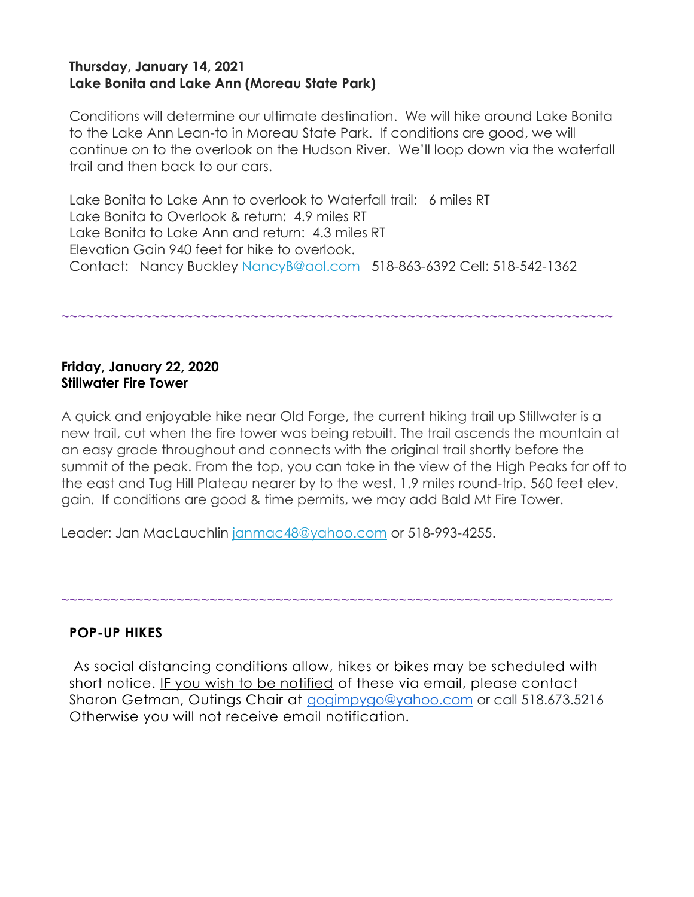#### **Thursday, January 14, 2021 Lake Bonita and Lake Ann (Moreau State Park)**

Conditions will determine our ultimate destination. We will hike around Lake Bonita to the Lake Ann Lean-to in Moreau State Park. If conditions are good, we will continue on to the overlook on the Hudson River. We'll loop down via the waterfall trail and then back to our cars.

Lake Bonita to Lake Ann to overlook to Waterfall trail: 6 miles RT Lake Bonita to Overlook & return: 4.9 miles RT Lake Bonita to Lake Ann and return: 4.3 miles RT Elevation Gain 940 feet for hike to overlook. Contact: Nancy Buckley [NancyB@aol.com](mailto:NancyB@aol.com) 518-863-6392 Cell: 518-542-1362

~~~~~~~~~~~~~~~~~~~~~~~~~~~~~~~~~~~~~~~~~~~~~~~~~~~~~~~~~~~~~~~~~~~

#### **Friday, January 22, 2020 Stillwater Fire Tower**

A quick and enjoyable hike near Old Forge, the current hiking trail up Stillwater is a new trail, cut when the fire tower was being rebuilt. The trail ascends the mountain at an easy grade throughout and connects with the original trail shortly before the summit of the peak. From the top, you can take in the view of the High Peaks far off to the east and Tug Hill Plateau nearer by to the west. 1.9 miles round-trip. 560 feet elev. gain. If conditions are good & time permits, we may add Bald Mt Fire Tower.

Leader: Jan MacLauchlin [janmac48@yahoo.com](mailto:janmac48@yahoo.com) or 518-993-4255.

#### **POP-UP HIKES**

As social distancing conditions allow, hikes or bikes may be scheduled with short notice. IF you wish to be notified of these via email, please contact Sharon Getman, Outings Chair at [gogimpygo@yahoo.com](mailto:gogimpygo@yahoo.com) or call 518.673.5216 Otherwise you will not receive email notification.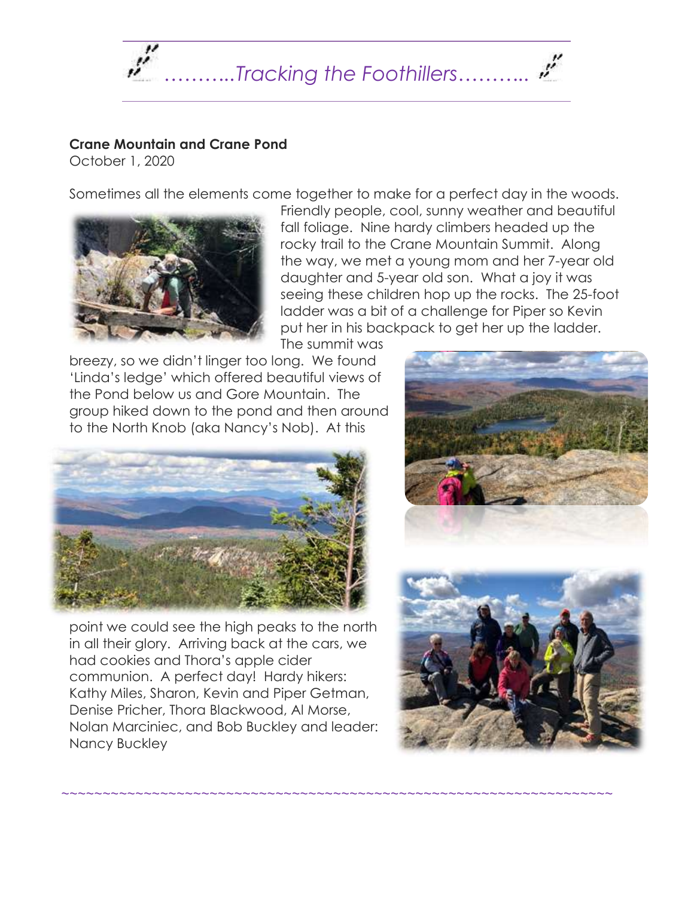

## **Crane Mountain and Crane Pond**

October 1, 2020

Sometimes all the elements come together to make for a perfect day in the woods.



Friendly people, cool, sunny weather and beautiful fall foliage. Nine hardy climbers headed up the rocky trail to the Crane Mountain Summit. Along the way, we met a young mom and her 7-year old daughter and 5-year old son. What a joy it was seeing these children hop up the rocks. The 25-foot ladder was a bit of a challenge for Piper so Kevin put her in his backpack to get her up the ladder.

The summit was

~~~~~~~~~~~~~~~~~~~~~~~~~~~~~~~~~~~~~~~~~~~~~~~~~~~~~~~~~~~~~~~~~~~

breezy, so we didn't linger too long. We found 'Linda's ledge' which offered beautiful views of the Pond below us and Gore Mountain. The group hiked down to the pond and then around to the North Knob (aka Nancy's Nob). At this



point we could see the high peaks to the north in all their glory. Arriving back at the cars, we had cookies and Thora's apple cider communion. A perfect day! Hardy hikers: Kathy Miles, Sharon, Kevin and Piper Getman, Denise Pricher, Thora Blackwood, Al Morse, Nolan Marciniec, and Bob Buckley and leader: Nancy Buckley



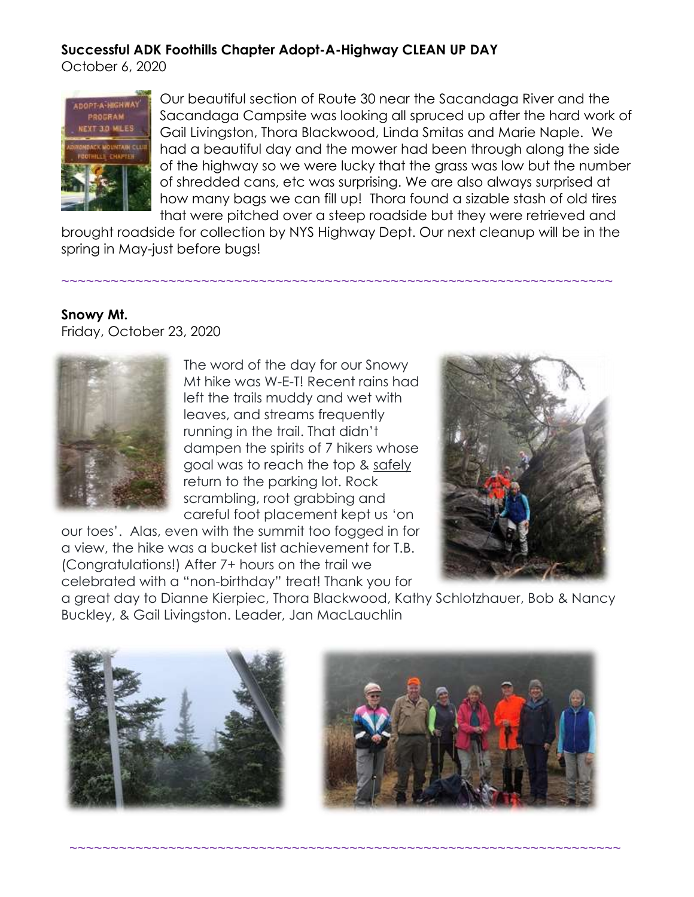## **Successful ADK Foothills Chapter Adopt-A-Highway CLEAN UP DAY**

October 6, 2020



Our beautiful section of Route 30 near the Sacandaga River and the Sacandaga Campsite was looking all spruced up after the hard work of Gail Livingston, Thora Blackwood, Linda Smitas and Marie Naple. We had a beautiful day and the mower had been through along the side of the highway so we were lucky that the grass was low but the number of shredded cans, etc was surprising. We are also always surprised at how many bags we can fill up! Thora found a sizable stash of old tires that were pitched over a steep roadside but they were retrieved and

brought roadside for collection by NYS Highway Dept. Our next cleanup will be in the spring in May-just before bugs!

~~~~~~~~~~~~~~~~~~~~~~~~~~~~~~~~~~~~~~~~~~~~~~~~~~~~~~~~~~~~~~~~~~~

## **Snowy Mt.**

Friday, October 23, 2020



The word of the day for our Snowy Mt hike was W-E-T! Recent rains had left the trails muddy and wet with leaves, and streams frequently running in the trail. That didn't dampen the spirits of 7 hikers whose goal was to reach the top & safely return to the parking lot. Rock scrambling, root grabbing and careful foot placement kept us 'on

our toes'. Alas, even with the summit too fogged in for a view, the hike was a bucket list achievement for T.B. (Congratulations!) After 7+ hours on the trail we celebrated with a "non-birthday" treat! Thank you for



a great day to Dianne Kierpiec, Thora Blackwood, Kathy Schlotzhauer, Bob & Nancy Buckley, & Gail Livingston. Leader, Jan MacLauchlin



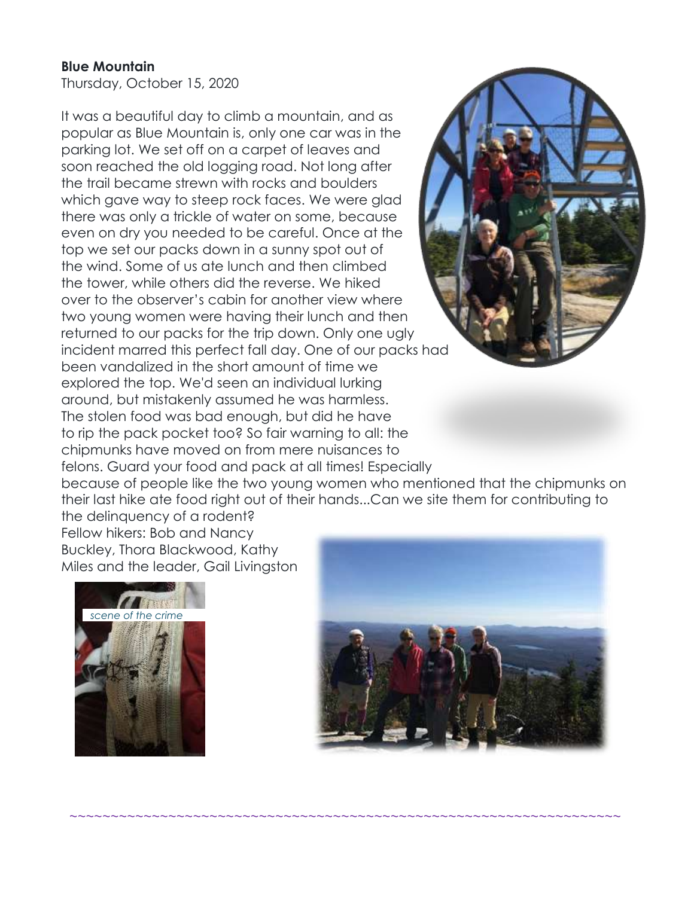#### **Blue Mountain**

Thursday, October 15, 2020

It was a beautiful day to climb a mountain, and as popular as Blue Mountain is, only one car was in the parking lot. We set off on a carpet of leaves and soon reached the old logging road. Not long after the trail became strewn with rocks and boulders which gave way to steep rock faces. We were glad there was only a trickle of water on some, because even on dry you needed to be careful. Once at the top we set our packs down in a sunny spot out of the wind. Some of us ate lunch and then climbed the tower, while others did the reverse. We hiked over to the observer's cabin for another view where two young women were having their lunch and then returned to our packs for the trip down. Only one ugly incident marred this perfect fall day. One of our packs had been vandalized in the short amount of time we explored the top. We'd seen an individual lurking around, but mistakenly assumed he was harmless. The stolen food was bad enough, but did he have to rip the pack pocket too? So fair warning to all: the chipmunks have moved on from mere nuisances to felons. Guard your food and pack at all times! Especially



because of people like the two young women who mentioned that the chipmunks on their last hike ate food right out of their hands...Can we site them for contributing to the delinquency of a rodent?

~~~~~~~~~~~~~~~~~~~~~~~~~~~~~~~~~~~~~~~~~~~~~~~~~~~~~~~~~~~~~~~~~~~

Fellow hikers: Bob and Nancy Buckley, Thora Blackwood, Kathy Miles and the leader, Gail Livingston



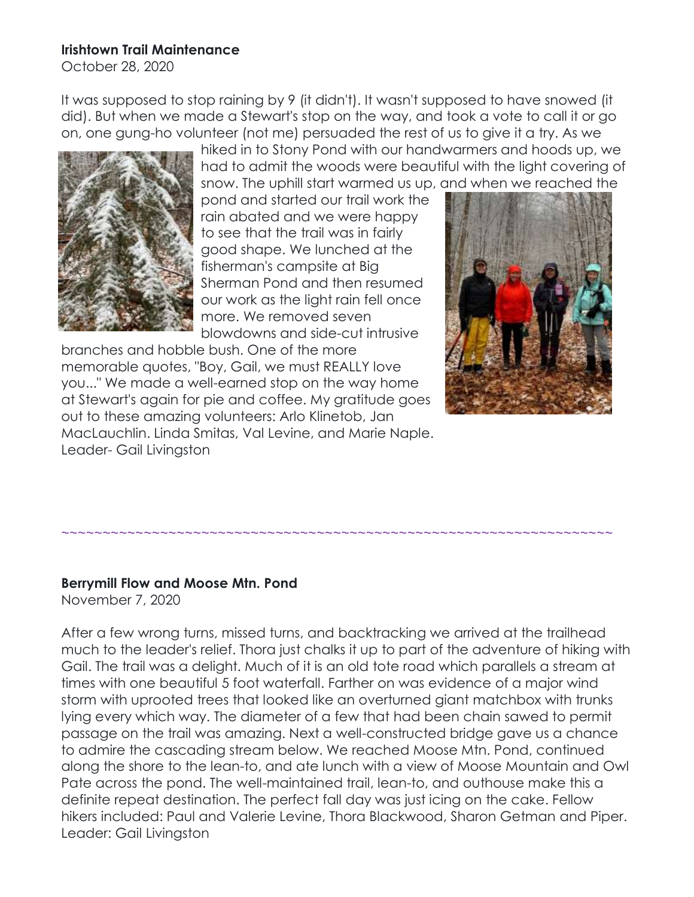#### **Irishtown Trail Maintenance**

October 28, 2020

It was supposed to stop raining by 9 (it didn't). It wasn't supposed to have snowed (it did). But when we made a Stewart's stop on the way, and took a vote to call it or go on, one gung-ho volunteer (not me) persuaded the rest of us to give it a try. As we



hiked in to Stony Pond with our handwarmers and hoods up, we had to admit the woods were beautiful with the light covering of snow. The uphill start warmed us up, and when we reached the

pond and started our trail work the rain abated and we were happy to see that the trail was in fairly good shape. We lunched at the fisherman's campsite at Big Sherman Pond and then resumed our work as the light rain fell once more. We removed seven blowdowns and side-cut intrusive

branches and hobble bush. One of the more memorable quotes, "Boy, Gail, we must REALLY love you..." We made a well-earned stop on the way home at Stewart's again for pie and coffee. My gratitude goes out to these amazing volunteers: Arlo Klinetob, Jan MacLauchlin. Linda Smitas, Val Levine, and Marie Naple. Leader- Gail Livingston



## **Berrymill Flow and Moose Mtn. Pond**

November 7, 2020

After a few wrong turns, missed turns, and backtracking we arrived at the trailhead much to the leader's relief. Thora just chalks it up to part of the adventure of hiking with Gail. The trail was a delight. Much of it is an old tote road which parallels a stream at times with one beautiful 5 foot waterfall. Farther on was evidence of a major wind storm with uprooted trees that looked like an overturned giant matchbox with trunks lying every which way. The diameter of a few that had been chain sawed to permit passage on the trail was amazing. Next a well-constructed bridge gave us a chance to admire the cascading stream below. We reached Moose Mtn. Pond, continued along the shore to the lean-to, and ate lunch with a view of Moose Mountain and Owl Pate across the pond. The well-maintained trail, lean-to, and outhouse make this a definite repeat destination. The perfect fall day was just icing on the cake. Fellow hikers included: Paul and Valerie Levine, Thora Blackwood, Sharon Getman and Piper. Leader: Gail Livingston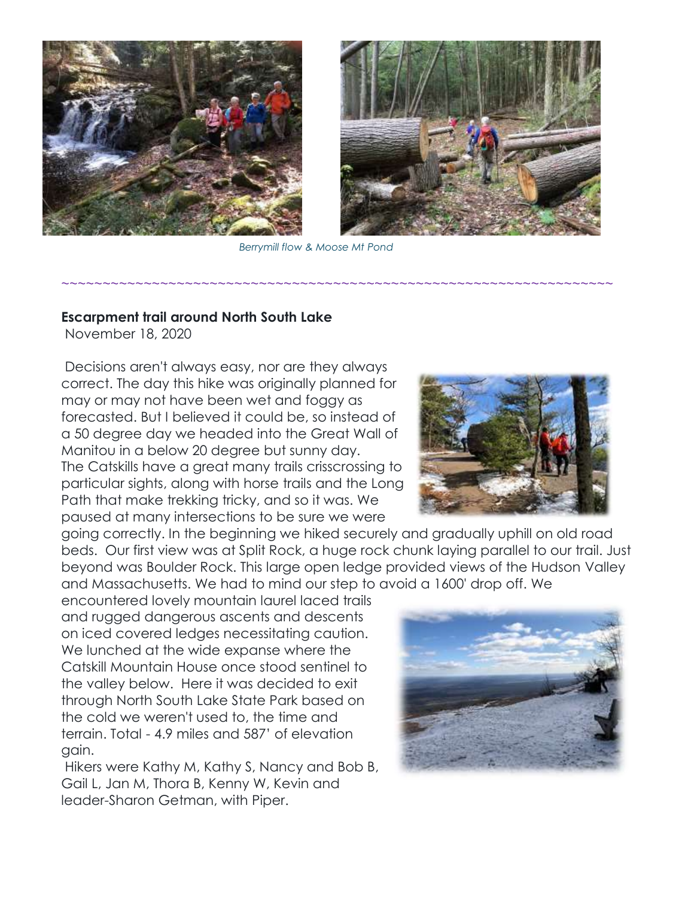



*Berrymill flow & Moose Mt Pond*

~~~~~~~~~~~~~~~~~~~~~~~~~~~~~~~~~~~~~~~~~~~~~~~~~~~~~~~~~~~~~~~~~~~

#### **Escarpment trail around North South Lake**

November 18, 2020

Decisions aren't always easy, nor are they always correct. The day this hike was originally planned for may or may not have been wet and foggy as forecasted. But I believed it could be, so instead of a 50 degree day we headed into the Great Wall of Manitou in a below 20 degree but sunny day. The Catskills have a great many trails crisscrossing to particular sights, along with horse trails and the Long Path that make trekking tricky, and so it was. We paused at many intersections to be sure we were

going correctly. In the beginning we hiked securely and gradually uphill on old road beds. Our first view was at Split Rock, a huge rock chunk laying parallel to our trail. Just beyond was Boulder Rock. This large open ledge provided views of the Hudson Valley and Massachusetts. We had to mind our step to avoid a 1600' drop off. We

encountered lovely mountain laurel laced trails and rugged dangerous ascents and descents on iced covered ledges necessitating caution. We lunched at the wide expanse where the Catskill Mountain House once stood sentinel to the valley below. Here it was decided to exit through North South Lake State Park based on the cold we weren't used to, the time and terrain. Total - 4.9 miles and 587' of elevation gain.

Hikers were Kathy M, Kathy S, Nancy and Bob B, Gail L, Jan M, Thora B, Kenny W, Kevin and leader-Sharon Getman, with Piper.